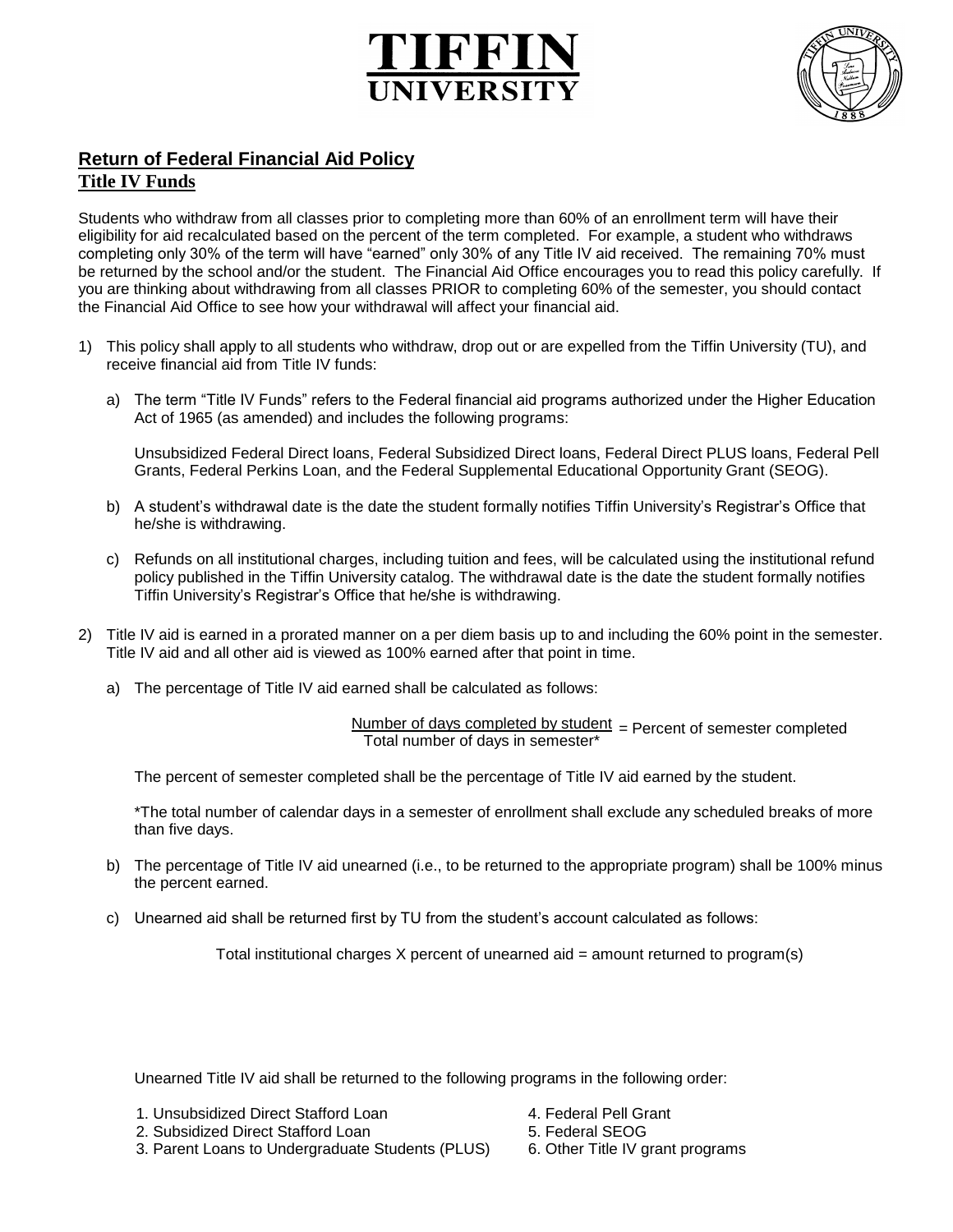



## **Return of Federal Financial Aid Policy Title IV Funds**

Students who withdraw from all classes prior to completing more than 60% of an enrollment term will have their eligibility for aid recalculated based on the percent of the term completed. For example, a student who withdraws completing only 30% of the term will have "earned" only 30% of any Title IV aid received. The remaining 70% must be returned by the school and/or the student. The Financial Aid Office encourages you to read this policy carefully. If you are thinking about withdrawing from all classes PRIOR to completing 60% of the semester, you should contact the Financial Aid Office to see how your withdrawal will affect your financial aid.

- 1) This policy shall apply to all students who withdraw, drop out or are expelled from the Tiffin University (TU), and receive financial aid from Title IV funds:
	- a) The term "Title IV Funds" refers to the Federal financial aid programs authorized under the Higher Education Act of 1965 (as amended) and includes the following programs:

Unsubsidized Federal Direct loans, Federal Subsidized Direct loans, Federal Direct PLUS loans, Federal Pell Grants, Federal Perkins Loan, and the Federal Supplemental Educational Opportunity Grant (SEOG).

- b) A student's withdrawal date is the date the student formally notifies Tiffin University's Registrar's Office that he/she is withdrawing.
- c) Refunds on all institutional charges, including tuition and fees, will be calculated using the institutional refund policy published in the Tiffin University catalog. The withdrawal date is the date the student formally notifies Tiffin University's Registrar's Office that he/she is withdrawing.
- 2) Title IV aid is earned in a prorated manner on a per diem basis up to and including the 60% point in the semester. Title IV aid and all other aid is viewed as 100% earned after that point in time.
	- a) The percentage of Title IV aid earned shall be calculated as follows:

Number of days completed by student  $=$  Percent of semester completed Total number of days in semester\*

The percent of semester completed shall be the percentage of Title IV aid earned by the student.

\*The total number of calendar days in a semester of enrollment shall exclude any scheduled breaks of more than five days.

- b) The percentage of Title IV aid unearned (i.e., to be returned to the appropriate program) shall be 100% minus the percent earned.
- c) Unearned aid shall be returned first by TU from the student's account calculated as follows:

Total institutional charges X percent of unearned aid = amount returned to program(s)

Unearned Title IV aid shall be returned to the following programs in the following order:

- 1. Unsubsidized Direct Stafford Loan 4. Federal Pell Grant
- 2. Subsidized Direct Stafford Loan 5. Federal SEOG
- 3. Parent Loans to Undergraduate Students (PLUS) 6. Other Title IV grant programs
- 
- -